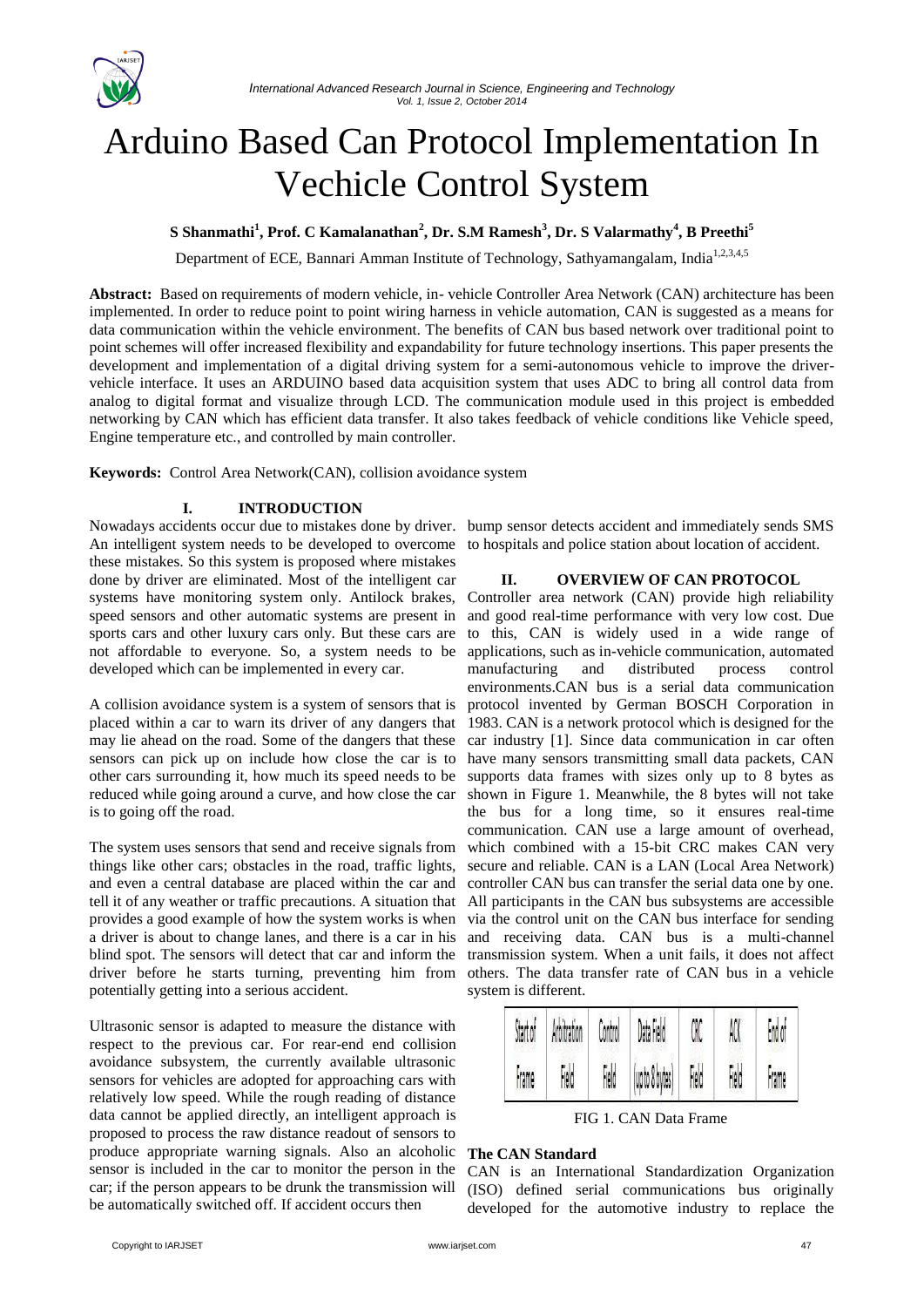

# Arduino Based Can Protocol Implementation In Vechicle Control System

# **S Shanmathi<sup>1</sup> , Prof. C Kamalanathan<sup>2</sup> , Dr. S.M Ramesh<sup>3</sup> , Dr. S Valarmathy<sup>4</sup> , B Preethi<sup>5</sup>**

Department of ECE, Bannari Amman Institute of Technology, Sathyamangalam, India<sup>1,2,3,4,5</sup>

**Abstract:** Based on requirements of modern vehicle, in- vehicle Controller Area Network (CAN) architecture has been implemented. In order to reduce point to point wiring harness in vehicle automation, CAN is suggested as a means for data communication within the vehicle environment. The benefits of CAN bus based network over traditional point to point schemes will offer increased flexibility and expandability for future technology insertions. This paper presents the development and implementation of a digital driving system for a semi-autonomous vehicle to improve the drivervehicle interface. It uses an ARDUINO based data acquisition system that uses ADC to bring all control data from analog to digital format and visualize through LCD. The communication module used in this project is embedded networking by CAN which has efficient data transfer. It also takes feedback of vehicle conditions like Vehicle speed, Engine temperature etc., and controlled by main controller.

**Keywords:** Control Area Network(CAN), collision avoidance system

# **I. INTRODUCTION**

Nowadays accidents occur due to mistakes done by driver. bump sensor detects accident and immediately sends SMS An intelligent system needs to be developed to overcome to hospitals and police station about location of accident. these mistakes. So this system is proposed where mistakes done by driver are eliminated. Most of the intelligent car systems have monitoring system only. Antilock brakes, speed sensors and other automatic systems are present in sports cars and other luxury cars only. But these cars are not affordable to everyone. So, a system needs to be developed which can be implemented in every car.

A collision avoidance system is a system of sensors that is placed within a car to warn its driver of any dangers that may lie ahead on the road. Some of the dangers that these sensors can pick up on include how close the car is to other cars surrounding it, how much its speed needs to be reduced while going around a curve, and how close the car is to going off the road.

The system uses sensors that send and receive signals from things like other cars; obstacles in the road, traffic lights, and even a central database are placed within the car and tell it of any weather or traffic precautions. A situation that provides a good example of how the system works is when a driver is about to change lanes, and there is a car in his blind spot. The sensors will detect that car and inform the driver before he starts turning, preventing him from potentially getting into a serious accident.

Ultrasonic sensor is adapted to measure the distance with respect to the previous car. For rear-end end collision avoidance subsystem, the currently available ultrasonic sensors for vehicles are adopted for approaching cars with relatively low speed. While the rough reading of distance data cannot be applied directly, an intelligent approach is proposed to process the raw distance readout of sensors to produce appropriate warning signals. Also an alcoholic sensor is included in the car to monitor the person in the car; if the person appears to be drunk the transmission will be automatically switched off. If accident occurs then

### **II. OVERVIEW OF CAN PROTOCOL**

Controller area network (CAN) provide high reliability and good real-time performance with very low cost. Due to this, CAN is widely used in a wide range of applications, such as in-vehicle communication, automated manufacturing and distributed process control environments.CAN bus is a serial data communication protocol invented by German BOSCH Corporation in 1983. CAN is a network protocol which is designed for the car industry [1]. Since data communication in car often have many sensors transmitting small data packets, CAN supports data frames with sizes only up to 8 bytes as shown in Figure 1. Meanwhile, the 8 bytes will not take the bus for a long time, so it ensures real-time communication. CAN use a large amount of overhead, which combined with a 15-bit CRC makes CAN very secure and reliable. CAN is a LAN (Local Area Network) controller CAN bus can transfer the serial data one by one. All participants in the CAN bus subsystems are accessible via the control unit on the CAN bus interface for sending and receiving data. CAN bus is a multi-channel transmission system. When a unit fails, it does not affect others. The data transfer rate of CAN bus in a vehicle system is different.



FIG 1. CAN Data Frame

### **The CAN Standard**

CAN is an International Standardization Organization (ISO) defined serial communications bus originally developed for the automotive industry to replace the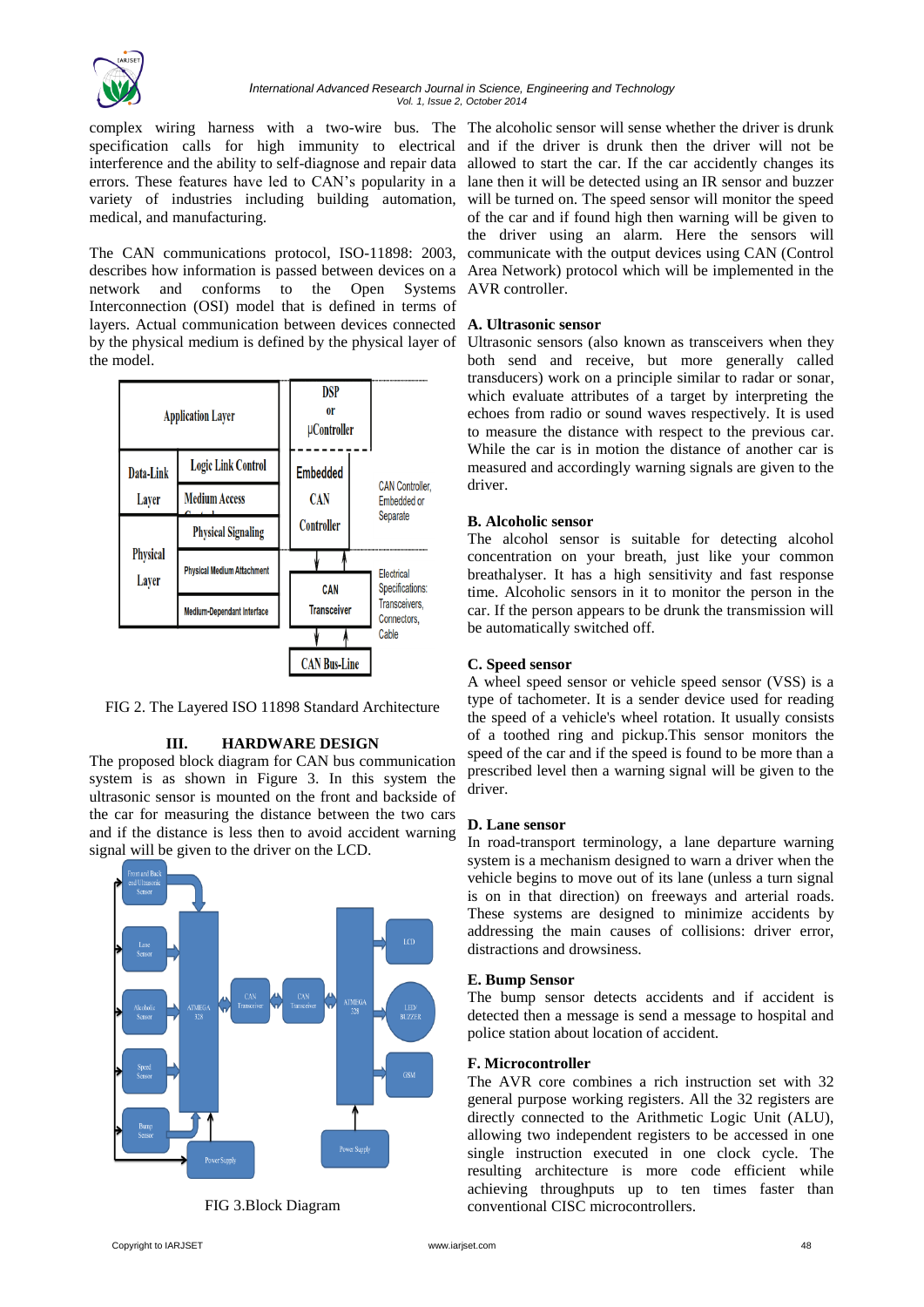

medical, and manufacturing.

The CAN communications protocol, ISO-11898: 2003, describes how information is passed between devices on a network and conforms to the Open Systems Interconnection (OSI) model that is defined in terms of layers. Actual communication between devices connected **A. Ultrasonic sensor** by the physical medium is defined by the physical layer of Ultrasonic sensors (also known as transceivers when they the model.



FIG 2. The Layered ISO 11898 Standard Architecture

### **III. HARDWARE DESIGN**

The proposed block diagram for CAN bus communication system is as shown in Figure 3. In this system the ultrasonic sensor is mounted on the front and backside of the car for measuring the distance between the two cars and if the distance is less then to avoid accident warning signal will be given to the driver on the LCD.



FIG 3.Block Diagram

complex wiring harness with a two-wire bus. The The alcoholic sensor will sense whether the driver is drunk specification calls for high immunity to electrical and if the driver is drunk then the driver will not be interference and the ability to self-diagnose and repair data allowed to start the car. If the car accidently changes its errors. These features have led to CAN's popularity in a lane then it will be detected using an IR sensor and buzzer variety of industries including building automation, will be turned on. The speed sensor will monitor the speed of the car and if found high then warning will be given to the driver using an alarm. Here the sensors will communicate with the output devices using CAN (Control Area Network) protocol which will be implemented in the AVR controller.

both send and receive, but more generally called transducers) work on a principle similar to radar or sonar, which evaluate attributes of a target by interpreting the echoes from radio or sound waves respectively. It is used to measure the distance with respect to the previous car. While the car is in motion the distance of another car is measured and accordingly warning signals are given to the driver.

### **B. Alcoholic sensor**

The alcohol sensor is suitable for detecting alcohol concentration on your breath, just like your common breathalyser. It has a high sensitivity and fast response time. Alcoholic sensors in it to monitor the person in the car. If the person appears to be drunk the transmission will be automatically switched off.

### **C. Speed sensor**

A wheel speed sensor or vehicle speed sensor (VSS) is a type of tachometer. It is a sender device used for reading the speed of a vehicle's wheel rotation. It usually consists of a toothed ring and pickup.This sensor monitors the speed of the car and if the speed is found to be more than a prescribed level then a warning signal will be given to the driver.

### **D. Lane sensor**

In road-transport terminology, a lane departure warning system is a mechanism designed to warn a driver when the vehicle begins to move out of its lane (unless a turn signal is on in that direction) on freeways and arterial roads. These systems are designed to minimize accidents by addressing the main causes of collisions: driver error, distractions and drowsiness.

### **E. Bump Sensor**

The bump sensor detects accidents and if accident is detected then a message is send a message to hospital and police station about location of accident.

# **F. Microcontroller**

The AVR core combines a rich instruction set with 32 general purpose working registers. All the 32 registers are directly connected to the Arithmetic Logic Unit (ALU), allowing two independent registers to be accessed in one single instruction executed in one clock cycle. The resulting architecture is more code efficient while achieving throughputs up to ten times faster than conventional CISC microcontrollers.